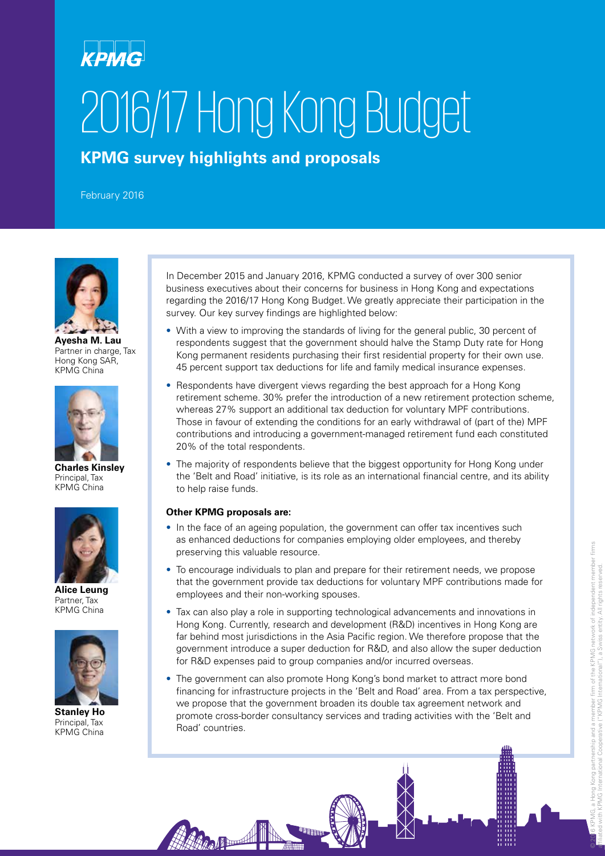# KPMG 2016/17 Hong Kong Budget

**KPMG survey highlights and proposals**

February 2016



**Ayesha M. Lau** Partner in charge, Tax Hong Kong SAR, KPMG China



**Charles Kinsley** Principal, Tax KPMG China



**Alice Leung** Partner, Tax KPMG China



**Stanley Ho** Principal, Tax KPMG China

In December 2015 and January 2016, KPMG conducted a survey of over 300 senior business executives about their concerns for business in Hong Kong and expectations regarding the 2016/17 Hong Kong Budget. We greatly appreciate their participation in the survey. Our key survey findings are highlighted below:

- With a view to improving the standards of living for the general public, 30 percent of respondents suggest that the government should halve the Stamp Duty rate for Hong Kong permanent residents purchasing their first residential property for their own use. 45 percent support tax deductions for life and family medical insurance expenses.
- Respondents have divergent views regarding the best approach for a Hong Kong retirement scheme. 30% prefer the introduction of a new retirement protection scheme, whereas 27% support an additional tax deduction for voluntary MPF contributions. Those in favour of extending the conditions for an early withdrawal of (part of the) MPF contributions and introducing a government-managed retirement fund each constituted 20% of the total respondents.
- The majority of respondents believe that the biggest opportunity for Hong Kong under the 'Belt and Road' initiative, is its role as an international financial centre, and its ability to help raise funds.

#### **Other KPMG proposals are:**

HARAND H

- In the face of an ageing population, the government can offer tax incentives such as enhanced deductions for companies employing older employees, and thereby preserving this valuable resource.
- To encourage individuals to plan and prepare for their retirement needs, we propose that the government provide tax deductions for voluntary MPF contributions made for employees and their non-working spouses.
- Tax can also play a role in supporting technological advancements and innovations in Hong Kong. Currently, research and development (R&D) incentives in Hong Kong are far behind most jurisdictions in the Asia Pacific region. We therefore propose that the government introduce a super deduction for R&D, and also allow the super deduction for R&D expenses paid to group companies and/or incurred overseas.
- The government can also promote Hong Kong's bond market to attract more bond financing for infrastructure projects in the 'Belt and Road' area. From a tax perspective, we propose that the government broaden its double tax agreement network and promote cross-border consultancy services and trading activities with the 'Belt and Road' countries.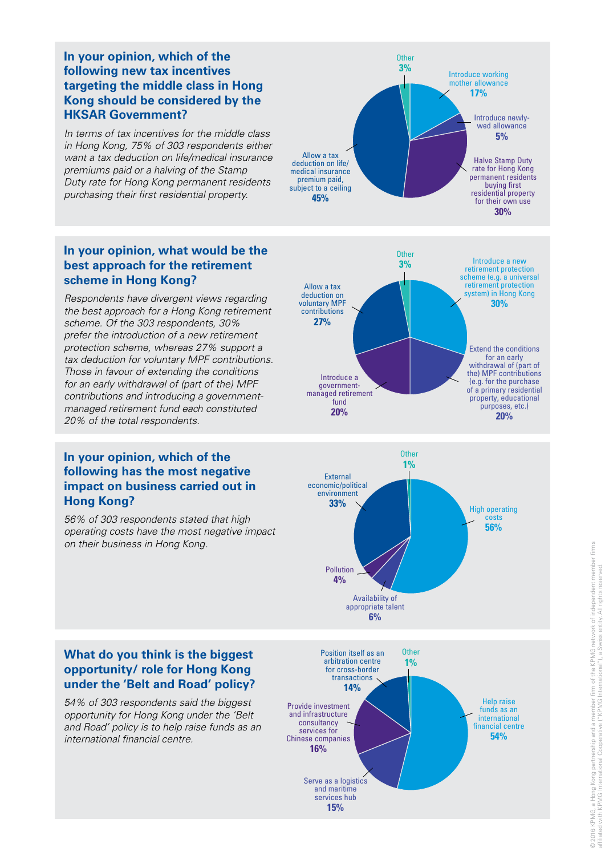#### **In your opinion, which of the following new tax incentives targeting the middle class in Hong Kong should be considered by the HKSAR Government?**

*In terms of tax incentives for the middle class in Hong Kong, 75% of 303 respondents either want a tax deduction on life/medical insurance premiums paid or a halving of the Stamp Duty rate for Hong Kong permanent residents purchasing their first residential property.*

### **In your opinion, what would be the best approach for the retirement scheme in Hong Kong?**

*Respondents have divergent views regarding the best approach for a Hong Kong retirement scheme. Of the 303 respondents, 30% prefer the introduction of a new retirement protection scheme, whereas 27% support a tax deduction for voluntary MPF contributions. Those in favour of extending the conditions for an early withdrawal of (part of the) MPF contributions and introducing a governmentmanaged retirement fund each constituted 20% of the total respondents.*

#### **In your opinion, which of the following has the most negative impact on business carried out in Hong Kong?**

*56% of 303 respondents stated that high operating costs have the most negative impact on their business in Hong Kong.* 







#### **What do you think is the biggest opportunity/ role for Hong Kong under the 'Belt and Road' policy?**

*54% of 303 respondents said the biggest opportunity for Hong Kong under the 'Belt and Road' policy is to help raise funds as an international financial centre.* 

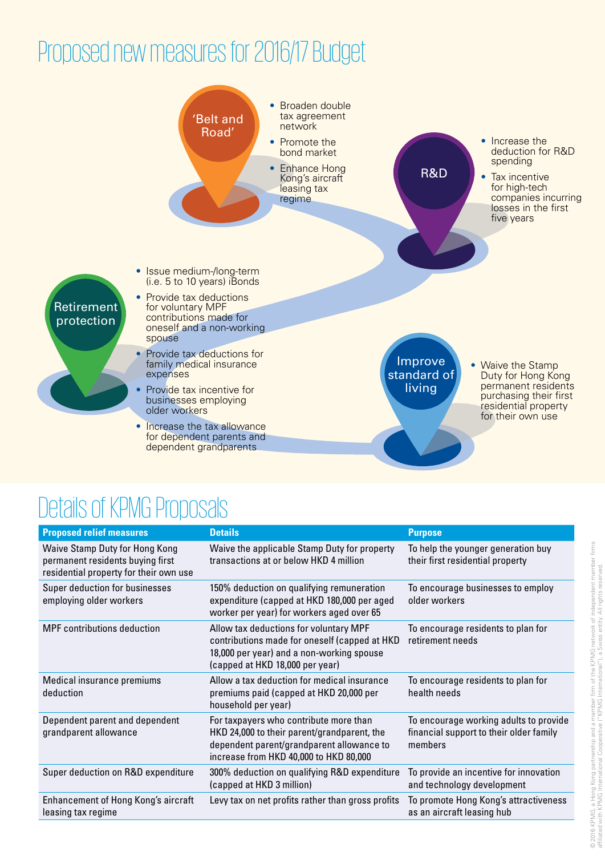## Proposed new measures for 2016/17 Budget



### Details of KPMG Proposals

| <b>Proposed relief measures</b>                                                                              | <b>Details</b>                                                                                                                                                               | <b>Purpose</b>                                                                               |
|--------------------------------------------------------------------------------------------------------------|------------------------------------------------------------------------------------------------------------------------------------------------------------------------------|----------------------------------------------------------------------------------------------|
| Waive Stamp Duty for Hong Kong<br>permanent residents buying first<br>residential property for their own use | Waive the applicable Stamp Duty for property<br>transactions at or below HKD 4 million                                                                                       | To help the younger generation buy<br>their first residential property                       |
| Super deduction for businesses<br>employing older workers                                                    | 150% deduction on qualifying remuneration<br>expenditure (capped at HKD 180,000 per aged<br>worker per year) for workers aged over 65                                        | To encourage businesses to employ<br>older workers                                           |
| <b>MPF</b> contributions deduction                                                                           | Allow tax deductions for voluntary MPF<br>contributions made for oneself (capped at HKD<br>18,000 per year) and a non-working spouse<br>(capped at HKD 18,000 per year)      | To encourage residents to plan for<br>retirement needs                                       |
| Medical insurance premiums<br>deduction                                                                      | Allow a tax deduction for medical insurance<br>premiums paid (capped at HKD 20,000 per<br>household per year)                                                                | To encourage residents to plan for<br>health needs                                           |
| Dependent parent and dependent<br>grandparent allowance                                                      | For taxpayers who contribute more than<br>HKD 24,000 to their parent/grandparent, the<br>dependent parent/grandparent allowance to<br>increase from HKD 40,000 to HKD 80,000 | To encourage working adults to provide<br>financial support to their older family<br>members |
| Super deduction on R&D expenditure                                                                           | 300% deduction on qualifying R&D expenditure<br>(capped at HKD 3 million)                                                                                                    | To provide an incentive for innovation<br>and technology development                         |
| Enhancement of Hong Kong's aircraft<br>leasing tax regime                                                    | Levy tax on net profits rather than gross profits                                                                                                                            | To promote Hong Kong's attractiveness<br>as an aircraft leasing hub                          |
|                                                                                                              |                                                                                                                                                                              |                                                                                              |